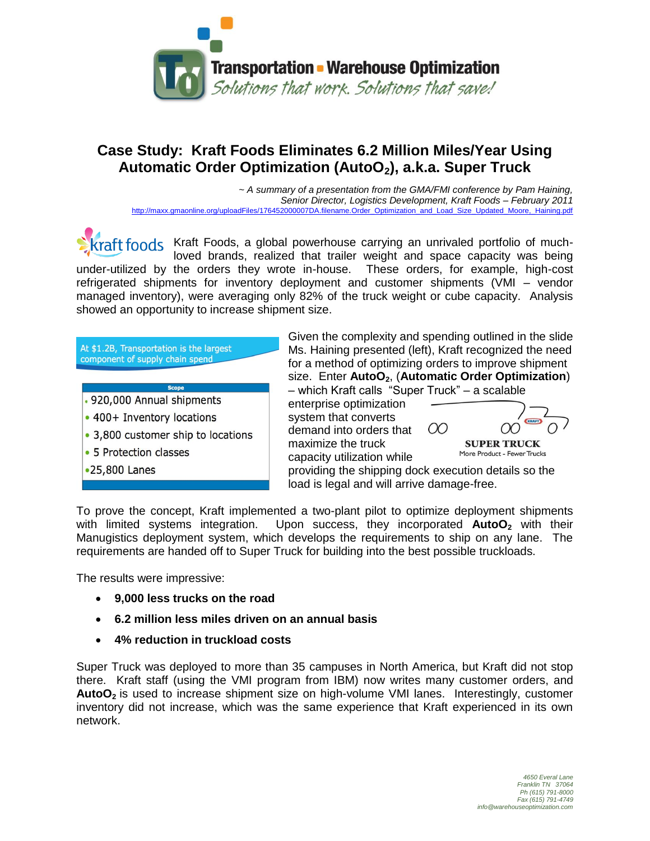

## **Case Study: Kraft Foods Eliminates 6.2 Million Miles/Year Using Automatic Order Optimization (AutoO2), a.k.a. Super Truck**

*~ A summary of a presentation from the GMA/FMI conference by Pam Haining, Senior Director, Logistics Development, Kraft Foods – February 2011* [http://maxx.gmaonline.org/uploadFiles/176452000007DA.filename.Order\\_Optimization\\_and\\_Load\\_Size\\_Updated\\_Moore,\\_Haining.pdf](http://maxx.gmaonline.org/uploadFiles/176452000007DA.filename.Order_Optimization_and_Load_Size_Updated_Moore,_Haining.pdf)

 $Kraft$   $foods$  Kraft Foods, a global powerhouse carrying an unrivaled portfolio of muchloved brands, realized that trailer weight and space capacity was being under-utilized by the orders they wrote in-house. These orders, for example, high-cost refrigerated shipments for inventory deployment and customer shipments (VMI – vendor managed inventory), were averaging only 82% of the truck weight or cube capacity. Analysis showed an opportunity to increase shipment size.

| At \$1.2B, Transportation is the largest<br>component of supply chain spend                                                               | Given the complexity and spending outlined in the slide<br>Ms. Haining presented (left), Kraft recognized the need<br>for a method of optimizing orders to improve shipment<br>size. Enter AutoO <sub>2</sub> , (Automatic Order Optimization)                     |
|-------------------------------------------------------------------------------------------------------------------------------------------|--------------------------------------------------------------------------------------------------------------------------------------------------------------------------------------------------------------------------------------------------------------------|
| <b>Scope</b>                                                                                                                              | - which Kraft calls "Super Truck" - a scalable                                                                                                                                                                                                                     |
| . 920,000 Annual shipments<br>• 400+ Inventory locations<br>• 3,800 customer ship to locations<br>• 5 Protection classes<br>•25,800 Lanes | enterprise optimization<br>system that converts<br><b>KRAFT</b><br>(X)<br>demand into orders that<br>maximize the truck<br><b>SUPER TRUCK</b><br>More Product - Fewer Trucks<br>capacity utilization while<br>providing the shipping dock execution details so the |
|                                                                                                                                           | load is legal and will arrive damage-free.                                                                                                                                                                                                                         |

To prove the concept, Kraft implemented a two-plant pilot to optimize deployment shipments with limited systems integration. Upon success, they incorporated **AutoO<sup>2</sup>** with their Manugistics deployment system, which develops the requirements to ship on any lane. The requirements are handed off to Super Truck for building into the best possible truckloads.

The results were impressive:

- **9,000 less trucks on the road**
- **6.2 million less miles driven on an annual basis**
- **4% reduction in truckload costs**

Super Truck was deployed to more than 35 campuses in North America, but Kraft did not stop there. Kraft staff (using the VMI program from IBM) now writes many customer orders, and **AutoO<sup>2</sup>** is used to increase shipment size on high-volume VMI lanes. Interestingly, customer inventory did not increase, which was the same experience that Kraft experienced in its own network.